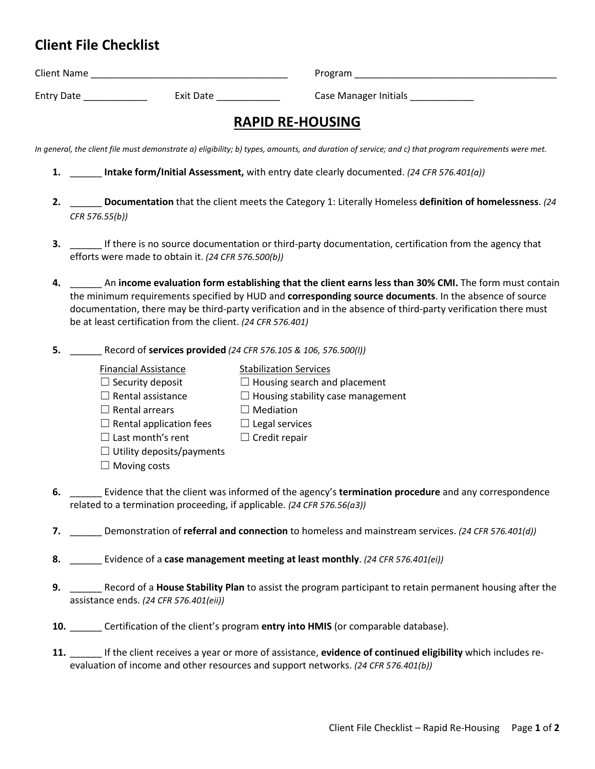## **Client File Checklist**

| <b>Client Name</b> |           | Program               |
|--------------------|-----------|-----------------------|
| <b>Entry Date</b>  | Exit Date | Case Manager Initials |

## **RAPID RE-HOUSING**

*In general, the client file must demonstrate a) eligibility; b) types, amounts, and duration of service; and c) that program requirements were met.*

- **1.** \_\_\_\_\_\_ **Intake form/Initial Assessment,** with entry date clearly documented. *(24 CFR 576.401(a))*
- **2.** \_\_\_\_\_\_ **Documentation** that the client meets the Category 1: Literally Homeless **definition of homelessness**. *(24 CFR 576.55(b))*
- **3.** \_\_\_\_\_\_ If there is no source documentation or third-party documentation, certification from the agency that efforts were made to obtain it. *(24 CFR 576.500(b))*
- **4.** \_\_\_\_\_\_ An **income evaluation form establishing that the client earns less than 30% CMI.** The form must contain the minimum requirements specified by HUD and **corresponding source documents**. In the absence of source documentation, there may be third-party verification and in the absence of third-party verification there must be at least certification from the client. *(24 CFR 576.401)*
- **5.** \_\_\_\_\_\_ Record of **services provided** *(24 CFR 576.105 & 106, 576.500(l))*
	-

 $\Box$  Rental assistance

- Financial Assistance Stabilization Services
- $\Box$  Security deposit  $\Box$  Housing search and placement
	- $\Box$  Housing stability case management
- $\Box$  Rental arrears  $\Box$  Mediation
- $\Box$  Rental application fees
	- $\Box$  Legal services  $\Box$  Credit repair
- ☐ Last month's rent  $\Box$  Utility deposits/payments
- $\Box$  Moving costs
- **6.** \_\_\_\_\_\_ Evidence that the client was informed of the agency's **termination procedure** and any correspondence related to a termination proceeding, if applicable. *(24 CFR 576.56(a3))*
- **7.** \_\_\_\_\_\_ Demonstration of **referral and connection** to homeless and mainstream services. *(24 CFR 576.401(d))*
- **8.** \_\_\_\_\_\_ Evidence of a **case management meeting at least monthly**. *(24 CFR 576.401(ei))*
- **9.** \_\_\_\_\_\_ Record of a **House Stability Plan** to assist the program participant to retain permanent housing after the assistance ends. *(24 CFR 576.401(eii))*
- **10.** \_\_\_\_\_\_ Certification of the client's program **entry into HMIS** (or comparable database).
- **11.** \_\_\_\_\_\_ If the client receives a year or more of assistance, **evidence of continued eligibility** which includes reevaluation of income and other resources and support networks. *(24 CFR 576.401(b))*